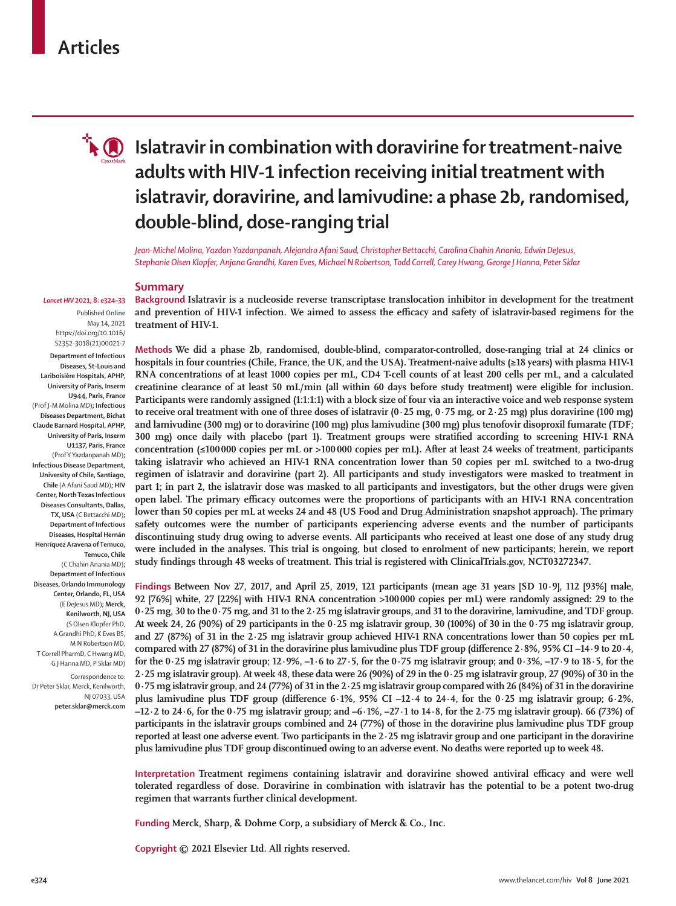# **Articles**



# **Islatravir in combination with doravirine for treatment-naive adults with HIV-1 infection receiving initial treatment with islatravir, doravirine, and lamivudine: a phase 2b, randomised, double-blind, dose-ranging trial**

*Jean-Michel Molina, Yazdan Yazdanpanah, Alejandro Afani Saud, Christopher Bettacchi, Carolina Chahin Anania, Edwin DeJesus, Stephanie Olsen Klopfer, Anjana Grandhi, Karen Eves, Michael N Robertson, Todd Correll, Carey Hwang, George J Hanna, Peter Sklar*

#### **Summary**

Published **Online** May 14, 2021 https://doi.org/10.1016/ S2352-3018(21)00021-7

*Lancet HIV* **2021; 8: e324–33**

**Department of Infectious Diseases, St-Louis and Lariboisière Hospitals, APHP, University of Paris, Inserm U944, Paris, France** (Prof J-M Molina MD)**; Infectious Diseases Department, Bichat Claude Barnard Hospital, APHP, University of Paris, Inserm U1137, Paris, France** (Prof Y Yazdanpanah MD)**; Infectious Disease Department, University of Chile, Santiago, Chile** (A Afani Saud MD)**; HIV Center, North Texas Infectious Diseases Consultants, Dallas, TX, USA** (C Bettacchi MD)**; Department of Infectious Diseases, Hospital Hernán Henríquez Aravena of Temuco, Temuco, Chile** (C Chahin Anania MD)**; Department of Infectious** 

**Diseases, Orlando Immunology Center, Orlando, FL, USA** (E DeJesus MD)**; Merck, Kenilworth, NJ, USA** (S Olsen Klopfer PhD, A Grandhi PhD, K Eves BS, M N Robertson MD, T Correll PharmD, C Hwang MD, G J Hanna MD, P Sklar MD)

Correspondence to: Dr Peter Sklar, Merck, Kenilworth, NJ 07033, USA **peter.sklar@merck.com** **Background Islatravir is a nucleoside reverse transcriptase translocation inhibitor in development for the treatment and prevention of HIV-1 infection. We aimed to assess the efficacy and safety of islatravir-based regimens for the treatment of HIV-1.**

**Methods We did a phase 2b, randomised, double-blind, comparator-controlled, dose-ranging trial at 24 clinics or hospitals in four countries (Chile, France, the UK, and the USA). Treatment-naive adults (≥18 years) with plasma HIV-1 RNA concentrations of at least 1000 copies per mL, CD4 T-cell counts of at least 200 cells per mL, and a calculated creatinine clearance of at least 50 mL/min (all within 60 days before study treatment) were eligible for inclusion. Participants were randomly assigned (1:1:1:1) with a block size of four via an interactive voice and web response system to receive oral treatment with one of three doses of islatravir (0·25 mg, 0·75 mg, or 2·25 mg) plus doravirine (100 mg) and lamivudine (300 mg) or to doravirine (100 mg) plus lamivudine (300 mg) plus tenofovir disoproxil fumarate (TDF; 300 mg) once daily with placebo (part 1). Treatment groups were stratified according to screening HIV-1 RNA concentration (≤100000 copies per mL or >100000 copies per mL). After at least 24 weeks of treatment, participants taking islatravir who achieved an HIV-1 RNA concentration lower than 50 copies per mL switched to a two-drug regimen of islatravir and doravirine (part 2). All participants and study investigators were masked to treatment in part 1; in part 2, the islatravir dose was masked to all participants and investigators, but the other drugs were given open label. The primary efficacy outcomes were the proportions of participants with an HIV-1 RNA concentration lower than 50 copies per mL at weeks 24 and 48 (US Food and Drug Administration snapshot approach). The primary safety outcomes were the number of participants experiencing adverse events and the number of participants discontinuing study drug owing to adverse events. All participants who received at least one dose of any study drug were included in the analyses. This trial is ongoing, but closed to enrolment of new participants; herein, we report study findings through 48 weeks of treatment. This trial is registered with ClinicalTrials.gov, NCT03272347.**

**Findings Between Nov 27, 2017, and April 25, 2019, 121 participants (mean age 31 years [SD 10·9], 112 [93%] male, 92 [76%] white, 27 [22%] with HIV-1 RNA concentration >100000 copies per mL) were randomly assigned: 29 to the 0·25 mg, 30 to the 0·75 mg, and 31 to the 2·25 mg islatravir groups, and 31 to the doravirine, lamivudine, and TDF group. At week 24, 26 (90%) of 29 participants in the 0·25 mg islatravir group, 30 (100%) of 30 in the 0·75 mg islatravir group, and 27 (87%) of 31 in the 2·25 mg islatravir group achieved HIV-1 RNA concentrations lower than 50 copies per mL compared with 27 (87%) of 31 in the doravirine plus lamivudine plus TDF group (difference 2·8%, 95% CI –14·9 to 20·4, for the 0·25 mg islatravir group; 12·9%, –1·6 to 27·5, for the 0·75 mg islatravir group; and 0·3%, –17·9 to 18·5, for the 2·25 mg islatravir group). At week 48, these data were 26 (90%) of 29 in the 0·25 mg islatravir group, 27 (90%) of 30 in the 0·75 mg islatravir group, and 24 (77%) of 31 in the 2·25 mg islatravir group compared with 26 (84%) of 31 in the doravirine plus lamivudine plus TDF group (difference 6·1%, 95% CI –12·4 to 24·4, for the 0·25 mg islatravir group; 6·2%, –12·2 to 24·6, for the 0·75 mg islatravir group; and –6·1%, –27·1 to 14·8, for the 2·75 mg islatravir group). 66 (73%) of participants in the islatravir groups combined and 24 (77%) of those in the doravirine plus lamivudine plus TDF group reported at least one adverse event. Two participants in the 2·25 mg islatravir group and one participant in the doravirine plus lamivudine plus TDF group discontinued owing to an adverse event. No deaths were reported up to week 48.**

**Interpretation Treatment regimens containing islatravir and doravirine showed antiviral efficacy and were well tolerated regardless of dose. Doravirine in combination with islatravir has the potential to be a potent two-drug regimen that warrants further clinical development.**

**Funding Merck, Sharp, & Dohme Corp, a subsidiary of Merck & Co., Inc.**

**Copyright © 2021 Elsevier Ltd. All rights reserved.**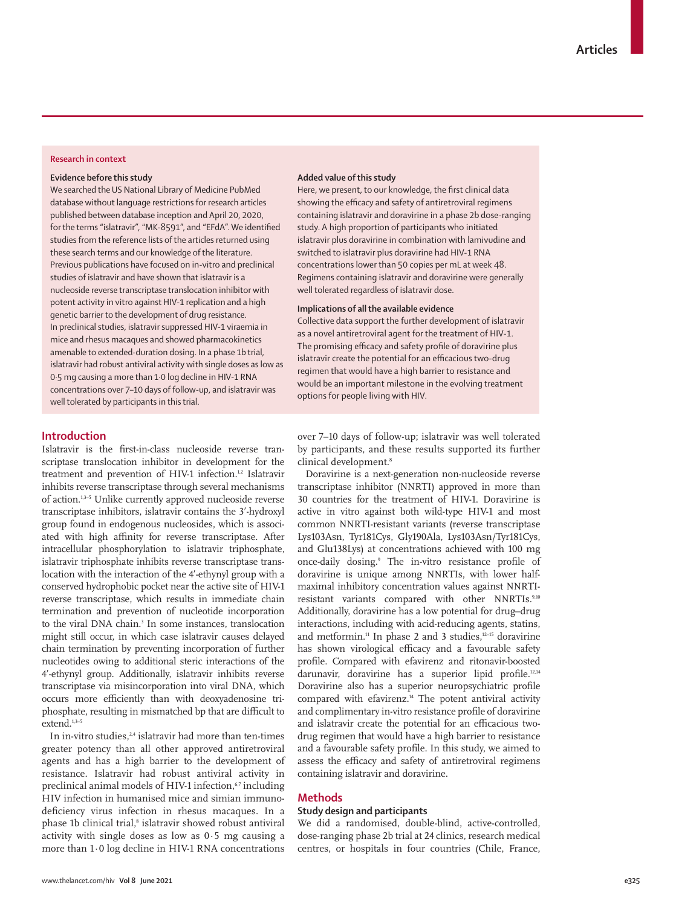# **Research in context**

## **Evidence before this study**

We searched the US National Library of Medicine PubMed database without language restrictions for research articles published between database inception and April 20, 2020, for the terms "islatravir", "MK-8591", and "EFdA". We identified studies from the reference lists of the articles returned using these search terms and our knowledge of the literature. Previous publications have focused on in-vitro and preclinical studies of islatravir and have shown that islatravir is a nucleoside reverse transcriptase translocation inhibitor with potent activity in vitro against HIV-1 replication and a high genetic barrier to the development of drug resistance. In preclinical studies, islatravir suppressed HIV-1 viraemia in mice and rhesus macaques and showed pharmacokinetics amenable to extended-duration dosing. In a phase 1b trial, islatravir had robust antiviral activity with single doses as low as 0·5 mg causing a more than 1·0 log decline in HIV-1 RNA concentrations over 7–10 days of follow-up, and islatravir was well tolerated by participants in this trial.

#### **Added value of this study**

Here, we present, to our knowledge, the first clinical data showing the efficacy and safety of antiretroviral regimens containing islatravir and doravirine in a phase 2b dose-ranging study. A high proportion of participants who initiated islatravir plus doravirine in combination with lamivudine and switched to islatravir plus doravirine had HIV-1 RNA concentrations lower than 50 copies per mL at week 48. Regimens containing islatravir and doravirine were generally well tolerated regardless of islatravir dose.

# **Implications of all the available evidence**

Collective data support the further development of islatravir as a novel antiretroviral agent for the treatment of HIV-1. The promising efficacy and safety profile of doravirine plus islatravir create the potential for an efficacious two-drug regimen that would have a high barrier to resistance and would be an important milestone in the evolving treatment options for people living with HIV.

# **Introduction**

Islatravir is the first-in-class nucleoside reverse transcriptase translocation inhibitor in development for the treatment and prevention of HIV-1 infection.<sup>1,2</sup> Islatravir inhibits reverse transcriptase through several mechanisms of action.1,3–5 Unlike currently approved nucleoside reverse transcriptase inhibitors, islatravir contains the 3ʹ-hydroxyl group found in endogenous nucleosides, which is associated with high affinity for reverse transcriptase. After intracellular phosphorylation to islatravir triphosphate, islatravir triphosphate inhibits reverse transcriptase translocation with the interaction of the 4ʹ-ethynyl group with a conserved hydrophobic pocket near the active site of HIV-1 reverse transcriptase, which results in immediate chain termination and prevention of nucleotide incorporation to the viral DNA chain.<sup>3</sup> In some instances, translocation might still occur, in which case islatravir causes delayed chain termination by preventing incorporation of further nucleotides owing to additional steric interactions of the 4ʹ-ethynyl group. Additionally, islatravir inhibits reverse transcriptase via misincorporation into viral DNA, which occurs more efficiently than with deoxyadenosine triphosphate, resulting in mismatched bp that are difficult to  $ext{end}^{1,3-5}$ 

In in-vitro studies, $2,4$  islatravir had more than ten-times greater potency than all other approved antiretroviral agents and has a high barrier to the development of resistance. Islatravir had robust antiviral activity in preclinical animal models of HIV-1 infection,<sup>6,7</sup> including HIV infection in humanised mice and simian immunodeficiency virus infection in rhesus macaques. In a phase 1b clinical trial,<sup>8</sup> islatravir showed robust antiviral activity with single doses as low as  $0.5$  mg causing a more than 1·0 log decline in HIV-1 RNA concentrations

over 7–10 days of follow-up; islatravir was well tolerated by participants, and these results supported its further clinical development.<sup>8</sup>

Doravirine is a next-generation non-nucleoside reverse transcriptase inhibitor (NNRTI) approved in more than 30 countries for the treatment of HIV-1. Doravirine is active in vitro against both wild-type HIV-1 and most common NNRTI-resistant variants (reverse transcriptase Lys103Asn, Tyr181Cys, Gly190Ala, Lys103Asn/Tyr181Cys, and Glu138Lys) at concentrations achieved with 100 mg once-daily dosing.9 The in-vitro resistance profile of doravirine is unique among NNRTIs, with lower halfmaximal inhibitory concentration values against NNRTIresistant variants compared with other NNRTIs.9,10 Additionally, doravirine has a low potential for drug–drug interactions, including with acid-reducing agents, statins, and metformin.<sup>11</sup> In phase 2 and 3 studies, $12-15$  doravirine has shown virological efficacy and a favourable safety profile. Compared with efavirenz and ritonavir-boosted darunavir, doravirine has a superior lipid profile.12,14 Doravirine also has a superior neuropsychiatric profile compared with efavirenz.<sup>14</sup> The potent antiviral activity and complimentary in-vitro resistance profile of doravirine and islatravir create the potential for an efficacious twodrug regimen that would have a high barrier to resistance and a favourable safety profile. In this study, we aimed to assess the efficacy and safety of antiretroviral regimens containing islatravir and doravirine.

# **Methods**

## **Study design and participants**

We did a randomised, double-blind, active-controlled, dose-ranging phase 2b trial at 24 clinics, research medical centres, or hospitals in four countries (Chile, France,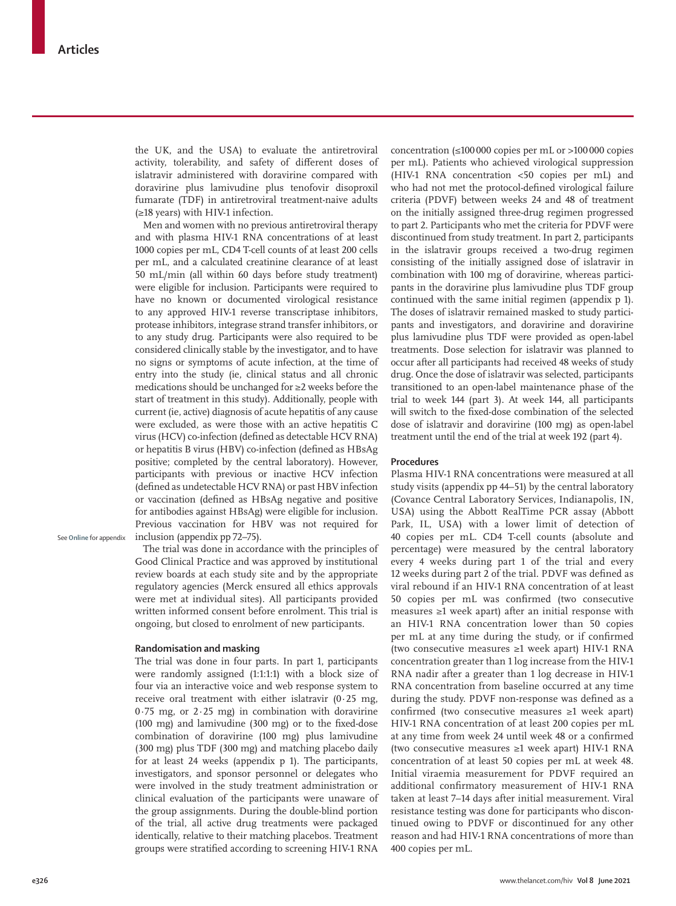the UK, and the USA) to evaluate the antiretroviral activity, tolerability, and safety of different doses of islatravir administered with doravirine compared with doravirine plus lamivudine plus tenofovir disoproxil fumarate (TDF) in antiretroviral treatment-naive adults (≥18 years) with HIV-1 infection.

Men and women with no previous antiretroviral therapy and with plasma HIV-1 RNA concentrations of at least 1000 copies per mL, CD4 T-cell counts of at least 200 cells per mL, and a calculated creatinine clearance of at least 50 mL/min (all within 60 days before study treatment) were eligible for inclusion. Participants were required to have no known or documented virological resistance to any approved HIV-1 reverse transcriptase inhibitors, protease inhibitors, integrase strand transfer inhibitors, or to any study drug. Participants were also required to be considered clinically stable by the investigator, and to have no signs or symptoms of acute infection, at the time of entry into the study (ie, clinical status and all chronic medications should be unchanged for ≥2 weeks before the start of treatment in this study). Additionally, people with current (ie, active) diagnosis of acute hepatitis of any cause were excluded, as were those with an active hepatitis C virus (HCV) co-infection (defined as detectable HCV RNA) or hepatitis B virus (HBV) co-infection (defined as HBsAg positive; completed by the central laboratory). However, participants with previous or inactive HCV infection (defined as undetectable HCV RNA) or past HBV infection or vaccination (defined as HBsAg negative and positive for antibodies against HBsAg) were eligible for inclusion. Previous vaccination for HBV was not required for inclusion (appendix pp 72–75).

See **Online** for appendix

The trial was done in accordance with the principles of Good Clinical Practice and was approved by institutional review boards at each study site and by the appropriate regulatory agencies (Merck ensured all ethics approvals were met at individual sites). All participants provided written informed consent before enrolment. This trial is ongoing, but closed to enrolment of new participants.

#### **Randomisation and masking**

The trial was done in four parts. In part 1, participants were randomly assigned (1:1:1:1) with a block size of four via an interactive voice and web response system to receive oral treatment with either islatravir  $(0.25 \text{ mg})$ ,  $0.75$  mg, or  $2.25$  mg) in combination with doravirine (100 mg) and lamivudine (300 mg) or to the fixed-dose combination of doravirine (100 mg) plus lamivudine (300 mg) plus TDF (300 mg) and matching placebo daily for at least 24 weeks (appendix p 1). The participants, investigators, and sponsor personnel or delegates who were involved in the study treatment administration or clinical evaluation of the participants were unaware of the group assignments. During the double-blind portion of the trial, all active drug treatments were packaged identically, relative to their matching placebos. Treatment groups were stratified according to screening HIV-1 RNA concentration  $(\leq 100000$  copies per mL or  $> 100000$  copies per mL). Patients who achieved virological suppression (HIV-1 RNA concentration <50 copies per mL) and who had not met the protocol-defined virological failure criteria (PDVF) between weeks 24 and 48 of treatment on the initially assigned three-drug regimen progressed to part 2. Participants who met the criteria for PDVF were discontinued from study treatment. In part 2, participants in the islatravir groups received a two-drug regimen consisting of the initially assigned dose of islatravir in combination with 100 mg of doravirine, whereas participants in the doravirine plus lamivudine plus TDF group continued with the same initial regimen (appendix p 1). The doses of islatravir remained masked to study participants and investigators, and doravirine and doravirine plus lamivudine plus TDF were provided as open-label treatments. Dose selection for islatravir was planned to occur after all participants had received 48 weeks of study drug. Once the dose of islatravir was selected, participants transitioned to an open-label maintenance phase of the trial to week 144 (part 3). At week 144, all participants will switch to the fixed-dose combination of the selected dose of islatravir and doravirine (100 mg) as open-label treatment until the end of the trial at week 192 (part 4).

#### **Procedures**

Plasma HIV-1 RNA concentrations were measured at all study visits (appendix pp 44–51) by the central laboratory (Covance Central Laboratory Services, Indianapolis, IN, USA) using the Abbott RealTime PCR assay (Abbott Park, IL, USA) with a lower limit of detection of 40 copies per mL. CD4 T-cell counts (absolute and percentage) were measured by the central laboratory every 4 weeks during part 1 of the trial and every 12 weeks during part 2 of the trial. PDVF was defined as viral rebound if an HIV-1 RNA concentration of at least 50 copies per mL was confirmed (two consecutive measures ≥1 week apart) after an initial response with an HIV-1 RNA concentration lower than 50 copies per mL at any time during the study, or if confirmed (two consecutive measures ≥1 week apart) HIV-1 RNA concentration greater than 1 log increase from the HIV-1 RNA nadir after a greater than 1 log decrease in HIV-1 RNA concentration from baseline occurred at any time during the study. PDVF non-response was defined as a confirmed (two consecutive measures ≥1 week apart) HIV-1 RNA concentration of at least 200 copies per mL at any time from week 24 until week 48 or a confirmed (two consecutive measures ≥1 week apart) HIV-1 RNA concentration of at least 50 copies per mL at week 48. Initial viraemia measurement for PDVF required an additional confirmatory measurement of HIV-1 RNA taken at least 7–14 days after initial measurement. Viral resistance testing was done for participants who discontinued owing to PDVF or discontinued for any other reason and had HIV-1 RNA concentrations of more than 400 copies per mL.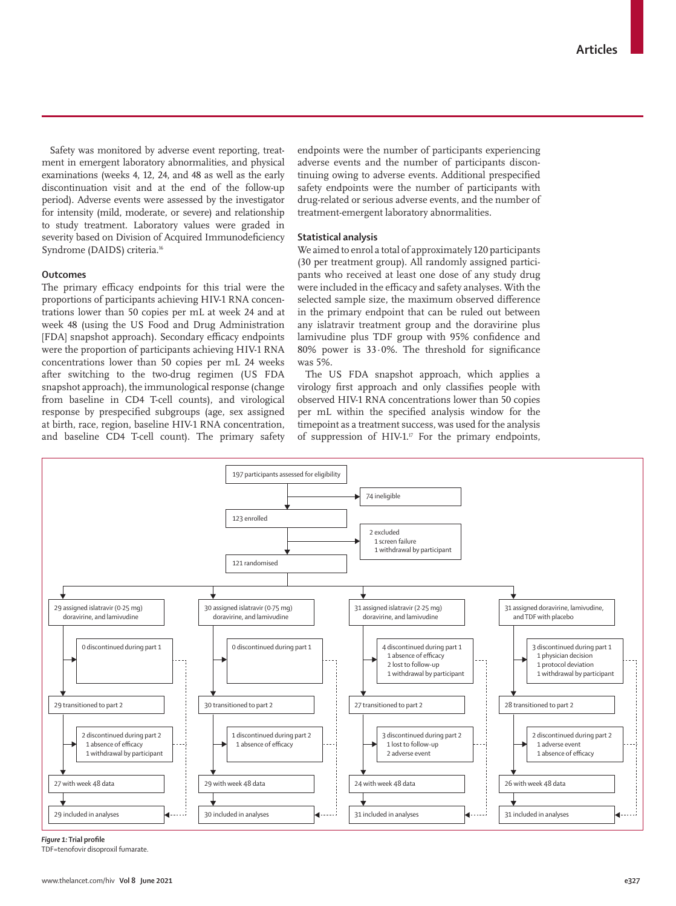Safety was monitored by adverse event reporting, treatment in emergent laboratory abnormalities, and physical examinations (weeks 4, 12, 24, and 48 as well as the early discontinuation visit and at the end of the follow-up period). Adverse events were assessed by the investigator for intensity (mild, moderate, or severe) and relationship to study treatment. Laboratory values were graded in severity based on Division of Acquired Immunodeficiency Syndrome (DAIDS) criteria.<sup>16</sup>

#### **Outcomes**

The primary efficacy endpoints for this trial were the proportions of participants achieving HIV-1 RNA concentrations lower than 50 copies per mL at week 24 and at week 48 (using the US Food and Drug Administration [FDA] snapshot approach). Secondary efficacy endpoints were the proportion of participants achieving HIV-1 RNA concentrations lower than 50 copies per mL 24 weeks after switching to the two-drug regimen (US FDA snapshot approach), the immunological response (change from baseline in CD4 T-cell counts), and virological response by prespecified subgroups (age, sex assigned at birth, race, region, baseline HIV-1 RNA concentration, and baseline CD4 T-cell count). The primary safety endpoints were the number of participants experiencing adverse events and the number of participants discontinuing owing to adverse events. Additional prespecified safety endpoints were the number of participants with drug-related or serious adverse events, and the number of treatment-emergent laboratory abnormalities.

#### **Statistical analysis**

We aimed to enrol a total of approximately 120 participants (30 per treatment group). All randomly assigned participants who received at least one dose of any study drug were included in the efficacy and safety analyses. With the selected sample size, the maximum observed difference in the primary endpoint that can be ruled out between any islatravir treatment group and the doravirine plus lamivudine plus TDF group with 95% confidence and 80% power is 33·0%. The threshold for significance was 5%.

The US FDA snapshot approach, which applies a virology first approach and only classifies people with observed HIV-1 RNA concentrations lower than 50 copies per mL within the specified analysis window for the timepoint as a treatment success, was used for the analysis of suppression of HIV-1. $\text{F}$  For the primary endpoints,



#### *Figure 1:* **Trial profile**

TDF=tenofovir disoproxil fumarate.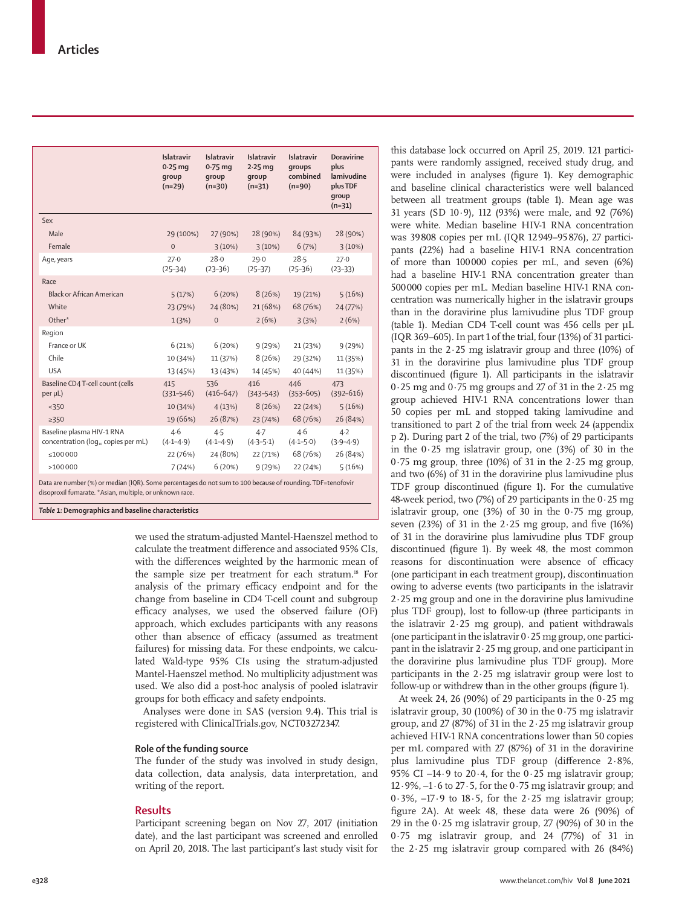|                                                                  | Islatravir<br>$0.25$ mg<br>qroup<br>$(n=29)$ | <b>Islatravir</b><br>$0.75$ mg<br>qroup<br>$(n=30)$ | Islatravir<br>$2.25$ mg<br>qroup<br>$(n=31)$ | <b>Islatravir</b><br>qroups<br>combined<br>$(n=90)$ | <b>Doravirine</b><br>plus<br>lamivudine<br>plus TDF<br>group<br>$(n=31)$ |
|------------------------------------------------------------------|----------------------------------------------|-----------------------------------------------------|----------------------------------------------|-----------------------------------------------------|--------------------------------------------------------------------------|
| Sex                                                              |                                              |                                                     |                                              |                                                     |                                                                          |
| Male                                                             | 29 (100%)                                    | 27 (90%)                                            | 28 (90%)                                     | 84 (93%)                                            | 28 (90%)                                                                 |
| Female                                                           | $\overline{0}$                               | 3(10%)                                              | 3(10%)                                       | 6(7%)                                               | 3(10%)                                                                   |
| Age, years                                                       | 27.0<br>$(25-34)$                            | 28.0<br>$(23 - 36)$                                 | 29.0<br>$(25-37)$                            | 28.5<br>$(25-36)$                                   | 27.0<br>$(23-33)$                                                        |
| Race                                                             |                                              |                                                     |                                              |                                                     |                                                                          |
| <b>Black or African American</b>                                 | 5(17%)                                       | 6(20%)                                              | 8(26%)                                       | 19 (21%)                                            | 5(16%)                                                                   |
| White                                                            | 23 (79%)                                     | 24 (80%)                                            | 21 (68%)                                     | 68 (76%)                                            | 24 (77%)                                                                 |
| Other*                                                           | 1(3%)                                        | $\mathbf 0$                                         | 2(6%)                                        | 3(3%)                                               | 2(6%)                                                                    |
| Region                                                           |                                              |                                                     |                                              |                                                     |                                                                          |
| France or UK                                                     | 6(21%)                                       | 6(20%)                                              | 9(29%)                                       | 21 (23%)                                            | 9(29%)                                                                   |
| Chile                                                            | 10 (34%)                                     | 11 (37%)                                            | 8(26%)                                       | 29 (32%)                                            | 11 (35%)                                                                 |
| <b>USA</b>                                                       | 13 (45%)                                     | 13 (43%)                                            | 14 (45%)                                     | 40 (44%)                                            | 11 (35%)                                                                 |
| Baseline CD4 T-cell count (cells<br>$per \mu L$ )                | 415<br>$(331 - 546)$                         | 536<br>$(416 - 647)$                                | 416<br>$(343 - 543)$                         | 446<br>$(353 - 605)$                                | 473<br>$(392 - 616)$                                                     |
| < 350                                                            | 10 (34%)                                     | 4(13%)                                              | 8(26%)                                       | 22(24%)                                             | 5(16%)                                                                   |
| $\geq$ 350                                                       | 19 (66%)                                     | 26 (87%)                                            | 23 (74%)                                     | 68 (76%)                                            | 26 (84%)                                                                 |
| Baseline plasma HIV-1 RNA<br>concentration (log., copies per mL) | 4.6<br>$(4.1 - 4.9)$                         | 4.5<br>$(4.1 - 4.9)$                                | $4-7$<br>$(4.3 - 5.1)$                       | 4.6<br>$(4.1 - 5.0)$                                | $4-2$<br>$(3.9 - 4.9)$                                                   |
| ≤100000                                                          | 22 (76%)                                     | 24 (80%)                                            | 22 (71%)                                     | 68 (76%)                                            | 26 (84%)                                                                 |
| >100000                                                          | 7(24%)                                       | 6(20%)                                              | 9(29%)                                       | 22 (24%)                                            | 5(16%)                                                                   |

Data are number (%) or median (IQR). Some percentages do not sum to 100 because of rounding. TDF=tenofovir disoproxil fumarate. \*Asian, multiple, or unknown race.

*Table 1:* **Demographics and baseline characteristics** 

we used the stratum-adjusted Mantel-Haenszel method to calculate the treatment difference and associated 95% CIs, with the differences weighted by the harmonic mean of the sample size per treatment for each stratum.<sup>18</sup> For analysis of the primary efficacy endpoint and for the change from baseline in CD4 T-cell count and subgroup efficacy analyses, we used the observed failure (OF) approach, which excludes participants with any reasons other than absence of efficacy (assumed as treatment failures) for missing data. For these endpoints, we calculated Wald-type 95% CIs using the stratum-adjusted Mantel-Haenszel method. No multiplicity adjustment was used. We also did a post-hoc analysis of pooled islatravir groups for both efficacy and safety endpoints.

Analyses were done in SAS (version 9.4). This trial is registered with ClinicalTrials.gov, NCT03272347.

## **Role of the funding source**

The funder of the study was involved in study design, data collection, data analysis, data interpretation, and writing of the report.

## **Results**

Participant screening began on Nov 27, 2017 (initiation date), and the last participant was screened and enrolled on April 20, 2018. The last participant's last study visit for this database lock occurred on April 25, 2019. 121 participants were randomly assigned, received study drug, and were included in analyses (figure 1). Key demographic and baseline clinical characteristics were well balanced between all treatment groups (table 1). Mean age was 31 years (SD 10·9), 112 (93%) were male, and 92 (76%) were white. Median baseline HIV-1 RNA concentration was 39808 copies per mL (IQR 12949–95876), 27 participants (22%) had a baseline HIV-1 RNA concentration of more than 100000 copies per mL, and seven (6%) had a baseline HIV-1 RNA concentration greater than 500000 copies per mL. Median baseline HIV-1 RNA concentration was numerically higher in the islatravir groups than in the doravirine plus lamivudine plus TDF group (table 1). Median CD4 T-cell count was 456 cells per µL (IQR 369–605). In part 1 of the trial, four (13%) of 31 participants in the  $2.25$  mg islatravir group and three (10%) of 31 in the doravirine plus lamivudine plus TDF group discontinued (figure 1). All participants in the islatravir 0·25 mg and 0·75 mg groups and 27 of 31 in the 2·25 mg group achieved HIV-1 RNA concentrations lower than 50 copies per mL and stopped taking lamivudine and transitioned to part 2 of the trial from week 24 (appendix p 2). During part 2 of the trial, two (7%) of 29 participants in the  $0.25$  mg islatravir group, one  $(3%)$  of 30 in the  $0.75$  mg group, three (10%) of 31 in the  $2.25$  mg group, and two (6%) of 31 in the doravirine plus lamivudine plus TDF group discontinued (figure 1). For the cumulative 48-week period, two (7%) of 29 participants in the 0·25 mg islatravir group, one (3%) of 30 in the 0·75 mg group, seven  $(23%)$  of 31 in the 2 $\cdot$  25 mg group, and five  $(16%)$ of 31 in the doravirine plus lamivudine plus TDF group discontinued (figure 1). By week 48, the most common reasons for discontinuation were absence of efficacy (one participant in each treatment group), discontinuation owing to adverse events (two participants in the islatravir 2·25 mg group and one in the doravirine plus lamivudine plus TDF group), lost to follow-up (three participants in the islatravir 2·25 mg group), and patient withdrawals (one participant in the islatravir 0·25 mg group, one participant in the islatravir  $2.25$  mg group, and one participant in the doravirine plus lamivudine plus TDF group). More participants in the  $2.25$  mg islatravir group were lost to follow-up or withdrew than in the other groups (figure 1).

At week 24, 26 (90%) of 29 participants in the  $0.25$  mg islatravir group, 30 (100%) of 30 in the  $0.75$  mg islatravir group, and 27 (87%) of 31 in the  $2.25$  mg islatravir group achieved HIV-1 RNA concentrations lower than 50 copies per mL compared with 27 (87%) of 31 in the doravirine plus lamivudine plus TDF group (difference 2·8%, 95% CI –14 $\cdot$ 9 to 20 $\cdot$ 4, for the 0 $\cdot$ 25 mg islatravir group; 12 $\cdot$ 9%,  $-1\cdot$ 6 to 27 $\cdot$ 5, for the 0 $\cdot$ 75 mg islatravir group; and  $0.3\%$ ,  $-17.9$  to  $18.5$ , for the  $2.25$  mg islatravir group; figure 2A). At week 48, these data were 26 (90%) of 29 in the  $0.25$  mg islatravir group, 27 (90%) of 30 in the 0·75 mg islatravir group, and 24 (77%) of 31 in the 2·25 mg islatravir group compared with 26 (84%)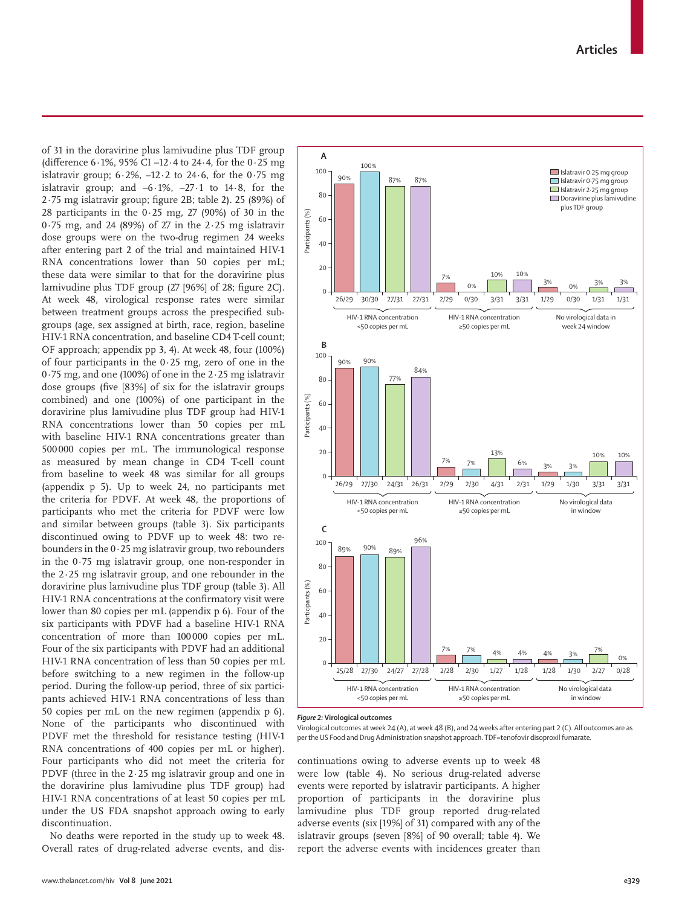of 31 in the doravirine plus lamivudine plus TDF group (difference 6·1%, 95% CI –12·4 to 24·4, for the 0·25 mg islatravir group;  $6.2\%$ ,  $-12.2$  to  $24.6$ , for the  $0.75$  mg islatravir group; and –6·1%, –27·1 to 14·8, for the 2·75 mg islatravir group; figure 2B; table 2). 25 (89%) of 28 participants in the 0·25 mg, 27 (90%) of 30 in the 0·75 mg, and 24 (89%) of 27 in the 2·25 mg islatravir dose groups were on the two-drug regimen 24 weeks after entering part 2 of the trial and maintained HIV-1 RNA concentrations lower than 50 copies per mL; these data were similar to that for the doravirine plus lamivudine plus TDF group (27 [96%] of 28; figure 2C). At week 48, virological response rates were similar between treatment groups across the prespecified subgroups (age, sex assigned at birth, race, region, baseline HIV-1 RNA concentration, and baseline CD4 T-cell count; OF approach; appendix pp 3, 4). At week 48, four (100%) of four participants in the  $0.25$  mg, zero of one in the 0·75 mg, and one (100%) of one in the 2·25 mg islatravir dose groups (five [83%] of six for the islatravir groups combined) and one (100%) of one participant in the doravirine plus lamivudine plus TDF group had HIV-1 RNA concentrations lower than 50 copies per mL with baseline HIV-1 RNA concentrations greater than 500 000 copies per mL. The immunological response as measured by mean change in CD4 T-cell count from baseline to week 48 was similar for all groups (appendix p 5). Up to week 24, no participants met the criteria for PDVF. At week 48, the proportions of participants who met the criteria for PDVF were low and similar between groups (table 3). Six participants discontinued owing to PDVF up to week 48: two rebounders in the  $0.25$  mg islatravir group, two rebounders in the 0·75 mg islatravir group, one non-responder in the 2·25 mg islatravir group, and one rebounder in the doravirine plus lamivudine plus TDF group (table 3). All HIV-1 RNA concentrations at the confirmatory visit were lower than 80 copies per mL (appendix p 6). Four of the six participants with PDVF had a baseline HIV-1 RNA concentration of more than 100000 copies per mL. Four of the six participants with PDVF had an additional HIV-1 RNA concentration of less than 50 copies per mL before switching to a new regimen in the follow-up period. During the follow-up period, three of six participants achieved HIV-1 RNA concentrations of less than 50 copies per mL on the new regimen (appendix p 6). None of the participants who discontinued with PDVF met the threshold for resistance testing (HIV-1 RNA concentrations of 400 copies per mL or higher). Four participants who did not meet the criteria for PDVF (three in the  $2.25$  mg islatravir group and one in the doravirine plus lamivudine plus TDF group) had HIV-1 RNA concentrations of at least 50 copies per mL under the US FDA snapshot approach owing to early discontinuation.

No deaths were reported in the study up to week 48. Overall rates of drug-related adverse events, and dis-



*Figure 2:* **Virological outcomes**

continuations owing to adverse events up to week 48 were low (table 4). No serious drug-related adverse events were reported by islatravir participants. A higher proportion of participants in the doravirine plus lamivudine plus TDF group reported drug-related adverse events (six [19%] of 31) compared with any of the islatravir groups (seven [8%] of 90 overall; table 4). We report the adverse events with incidences greater than

Virological outcomes at week 24 (A), at week 48 (B), and 24 weeks after entering part 2 (C). All outcomes are as per the US Food and Drug Administration snapshot approach. TDF=tenofovir disoproxil fumarate.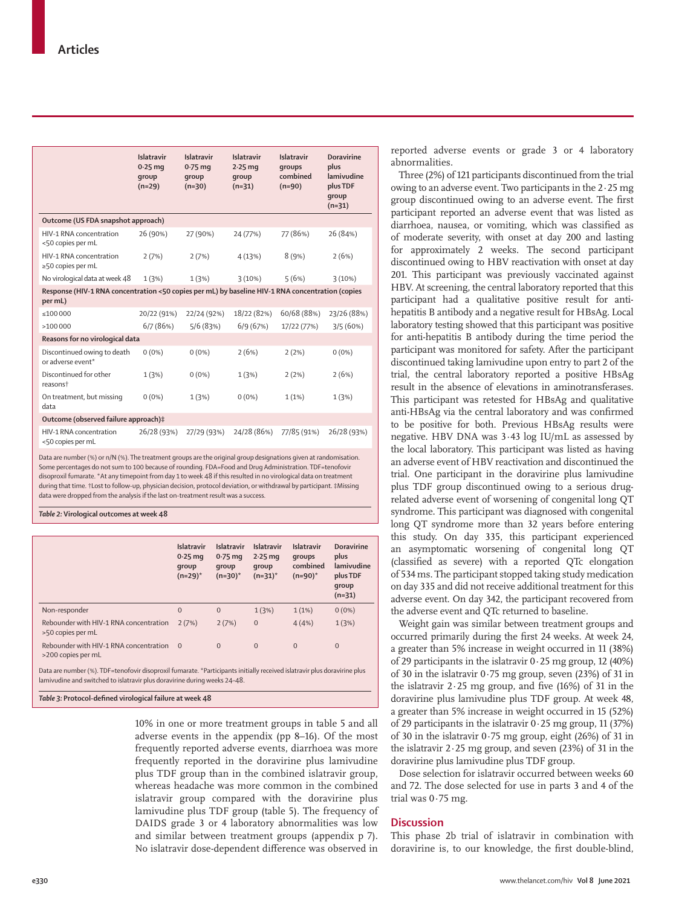|                                                                                                                 | Islatravir<br>$0.25$ mq<br>qroup<br>$(n=29)$ | Islatravir<br>$0.75$ mg<br>qroup<br>$(n=30)$ | Islatravir<br>$2.25$ mg<br>qroup<br>$(n=31)$ | Islatravir<br>groups<br>combined<br>$(n=90)$ | <b>Doravirine</b><br>plus<br>lamivudine<br>plus TDF<br>qroup<br>$(n=31)$ |
|-----------------------------------------------------------------------------------------------------------------|----------------------------------------------|----------------------------------------------|----------------------------------------------|----------------------------------------------|--------------------------------------------------------------------------|
| Outcome (US FDA snapshot approach)                                                                              |                                              |                                              |                                              |                                              |                                                                          |
| HIV-1 RNA concentration<br><50 copies per mL                                                                    | 26 (90%)                                     | 27 (90%)                                     | 24 (77%)                                     | 77 (86%)                                     | 26 (84%)                                                                 |
| HIV-1 RNA concentration<br>≥50 copies per mL                                                                    | 2(7%)                                        | 2(7%)                                        | 4(13%)                                       | 8(9%)                                        | 2(6%)                                                                    |
| No virological data at week 48                                                                                  | 1(3%)                                        | 1(3%)                                        | 3(10%)                                       | 5(6%)                                        | 3(10%)                                                                   |
| Response (HIV-1 RNA concentration <50 copies per mL) by baseline HIV-1 RNA concentration (copies<br>per mL)     |                                              |                                              |                                              |                                              |                                                                          |
| < 100000                                                                                                        | 20/22 (91%)                                  | 22/24 (92%)                                  | 18/22 (82%)                                  | 60/68 (88%)                                  | 23/26 (88%)                                                              |
| >100000                                                                                                         | 6/7(86%)                                     | 5/6(83%)                                     | 6/9(67%)                                     | 17/22 (77%)                                  | 3/5(60%)                                                                 |
| Reasons for no virological data                                                                                 |                                              |                                              |                                              |                                              |                                                                          |
| Discontinued owing to death<br>or adverse event*                                                                | $0(0\%)$                                     | $0(0\%)$                                     | 2(6%)                                        | 2(2%)                                        | $0(0\%)$                                                                 |
| Discontinued for other<br>reasons <sup>+</sup>                                                                  | 1(3%)                                        | $0(0\%)$                                     | 1(3%)                                        | 2(2%)                                        | 2(6%)                                                                    |
| On treatment, but missing<br>data                                                                               | $0(0\%)$                                     | 1(3%)                                        | $0(0\%)$                                     | 1(1%)                                        | 1(3%)                                                                    |
| Outcome (observed failure approach)‡                                                                            |                                              |                                              |                                              |                                              |                                                                          |
| HIV-1 RNA concentration<br><50 copies per mL                                                                    | 26/28 (93%)                                  | 27/29 (93%)                                  | 24/28 (86%)                                  | 77/85 (91%)                                  | 26/28 (93%)                                                              |
| Data are number (%) or n/N (%). The treatment groups are the original group designations given at randomisation |                                              |                                              |                                              |                                              |                                                                          |

Data are number (%) or n/N (%). The treatment groups are the original group designations given at randomisation. Some percentages do not sum to 100 because of rounding. FDA=Food and Drug Administration. TDF=tenofovir disoproxil fumarate. \*At any timepoint from day 1 to week 48 if this resulted in no virological data on treatment during that time. †Lost to follow-up, physician decision, protocol deviation, or withdrawal by participant. ‡Missing data were dropped from the analysis if the last on-treatment result was a success.

*Table 2:* **Virological outcomes at week 48**

|                                                              | Islatravir<br>$0.25$ mg<br>qroup<br>$(n=29)^*$ | <b>Islatravir</b><br>$0.75$ mg<br>group<br>$(n=30)^*$ | Islatravir<br>$2.25$ mg<br>qroup<br>$(n=31)^*$ | <b>Islatravir</b><br>groups<br>combined<br>$(n=90)^*$ | <b>Doravirine</b><br>plus<br>lamivudine<br>plus TDF<br>qroup<br>$(n=31)$ |
|--------------------------------------------------------------|------------------------------------------------|-------------------------------------------------------|------------------------------------------------|-------------------------------------------------------|--------------------------------------------------------------------------|
| Non-responder                                                | $\mathbf{0}$                                   | $\mathbf{0}$                                          | 1(3%)                                          | 1(1%)                                                 | $0(0\%)$                                                                 |
| Rebounder with HIV-1 RNA concentration<br>>50 copies per mL  | 2(7%)                                          | 2(7%)                                                 | $\mathbf{0}$                                   | 4(4%)                                                 | 1(3%)                                                                    |
| Rebounder with HIV-1 RNA concentration<br>>200 copies per mL | $\Omega$                                       | $\Omega$                                              | $\mathbf{0}$                                   | $\Omega$                                              | $\overline{0}$                                                           |

Data are number (%). TDF=tenofovir disoproxil fumarate. \*Participants initially received islatravir plus doravirine plus lamivudine and switched to islatravir plus doravirine during weeks 24–48.

*Table 3:* **Protocol-defined virological failure at week 48**

10% in one or more treatment groups in table 5 and all adverse events in the appendix (pp 8–16). Of the most frequently reported adverse events, diarrhoea was more frequently reported in the doravirine plus lamivudine plus TDF group than in the combined islatravir group, whereas headache was more common in the combined islatravir group compared with the doravirine plus lamivudine plus TDF group (table 5). The frequency of DAIDS grade 3 or 4 laboratory abnormalities was low and similar between treatment groups (appendix p 7). No islatravir dose-dependent difference was observed in

reported adverse events or grade 3 or 4 laboratory abnormalities.

Three (2%) of 121 participants discontinued from the trial owing to an adverse event. Two participants in the  $2.25$  mg group discontinued owing to an adverse event. The first participant reported an adverse event that was listed as diarrhoea, nausea, or vomiting, which was classified as of moderate severity, with onset at day 200 and lasting for approximately 2 weeks. The second participant discontinued owing to HBV reactivation with onset at day 201. This participant was previously vaccinated against HBV. At screening, the central laboratory reported that this participant had a qualitative positive result for antihepatitis B antibody and a negative result for HBsAg. Local laboratory testing showed that this participant was positive for anti-hepatitis B antibody during the time period the participant was monitored for safety. After the participant discontinued taking lamivudine upon entry to part 2 of the trial, the central laboratory reported a positive HBsAg result in the absence of elevations in aminotransferases. This participant was retested for HBsAg and qualitative anti-HBsAg via the central laboratory and was confirmed to be positive for both. Previous HBsAg results were negative. HBV DNA was 3·43 log IU/mL as assessed by the local laboratory. This participant was listed as having an adverse event of HBV reactivation and discontinued the trial. One participant in the doravirine plus lamivudine plus TDF group discontinued owing to a serious drugrelated adverse event of worsening of congenital long QT syndrome. This participant was diagnosed with congenital long QT syndrome more than 32 years before entering this study. On day 335, this participant experienced an asymptomatic worsening of congenital long QT (classified as severe) with a reported QTc elongation of 534 ms. The participant stopped taking study medication on day 335 and did not receive additional treatment for this adverse event. On day 342, the participant recovered from the adverse event and QTc returned to baseline.

Weight gain was similar between treatment groups and occurred primarily during the first 24 weeks. At week 24, a greater than 5% increase in weight occurred in 11 (38%) of 29 participants in the islatravir 0·25 mg group, 12 (40%) of 30 in the islatravir 0·75 mg group, seven (23%) of 31 in the islatravir  $2.25$  mg group, and five  $(16%)$  of 31 in the doravirine plus lamivudine plus TDF group. At week 48, a greater than 5% increase in weight occurred in 15 (52%) of 29 participants in the islatravir 0·25 mg group, 11 (37%) of 30 in the islatravir 0·75 mg group, eight (26%) of 31 in the islatravir  $2.25$  mg group, and seven  $(23%)$  of 31 in the doravirine plus lamivudine plus TDF group.

Dose selection for islatravir occurred between weeks 60 and 72. The dose selected for use in parts 3 and 4 of the trial was 0·75 mg.

# **Discussion**

This phase 2b trial of islatravir in combination with doravirine is, to our knowledge, the first double-blind,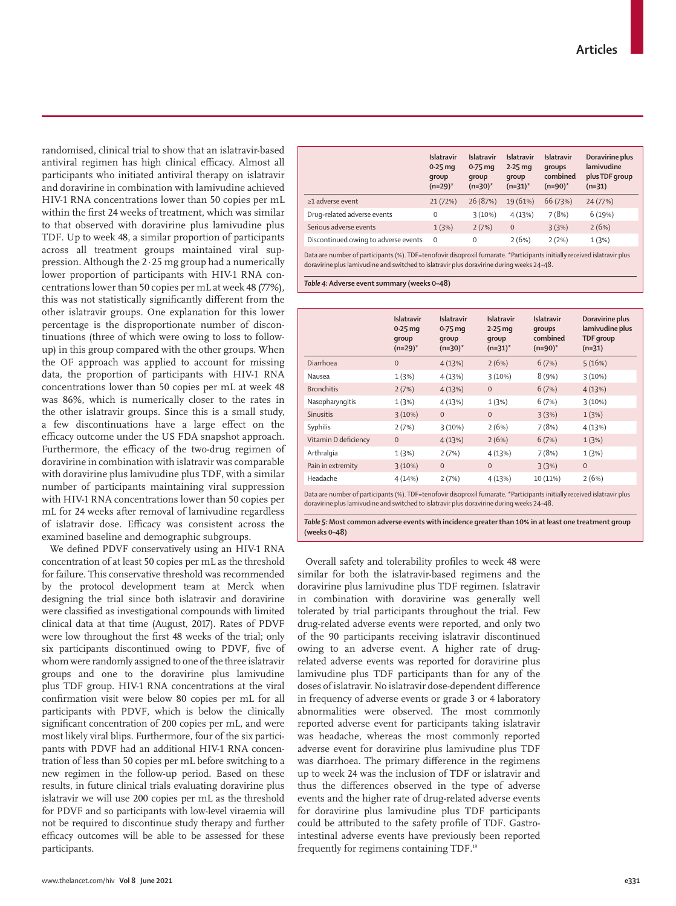randomised, clinical trial to show that an islatravir-based antiviral regimen has high clinical efficacy. Almost all participants who initiated antiviral therapy on islatravir and doravirine in combination with lamivudine achieved HIV-1 RNA concentrations lower than 50 copies per mL within the first 24 weeks of treatment, which was similar to that observed with doravirine plus lamivudine plus TDF. Up to week 48, a similar proportion of participants across all treatment groups maintained viral suppression. Although the 2·25 mg group had a numerically lower proportion of participants with HIV-1 RNA concentrations lower than 50 copies per mL at week 48 (77%), this was not statistically significantly different from the other islatravir groups. One explanation for this lower percentage is the disproportionate number of discontinuations (three of which were owing to loss to followup) in this group compared with the other groups. When the OF approach was applied to account for missing data, the proportion of participants with HIV-1 RNA concentrations lower than 50 copies per mL at week 48 was 86%, which is numerically closer to the rates in the other islatravir groups. Since this is a small study, a few discontinuations have a large effect on the efficacy outcome under the US FDA snapshot approach. Furthermore, the efficacy of the two-drug regimen of doravirine in combination with islatravir was comparable with doravirine plus lamivudine plus TDF, with a similar number of participants maintaining viral suppression with HIV-1 RNA concentrations lower than 50 copies per mL for 24 weeks after removal of lamivudine regardless of islatravir dose. Efficacy was consistent across the examined baseline and demographic subgroups.

We defined PDVF conservatively using an HIV-1 RNA concentration of at least 50 copies per mL as the threshold for failure. This conservative threshold was recommended by the protocol development team at Merck when designing the trial since both islatravir and doravirine were classified as investigational compounds with limited clinical data at that time (August, 2017). Rates of PDVF were low throughout the first 48 weeks of the trial; only six participants discontinued owing to PDVF, five of whom were randomly assigned to one of the three islatravir groups and one to the doravirine plus lamivudine plus TDF group. HIV-1 RNA concentrations at the viral confirmation visit were below 80 copies per mL for all participants with PDVF, which is below the clinically significant concentration of 200 copies per mL, and were most likely viral blips. Furthermore, four of the six participants with PDVF had an additional HIV-1 RNA concentration of less than 50 copies per mL before switching to a new regimen in the follow-up period. Based on these results, in future clinical trials evaluating doravirine plus islatravir we will use 200 copies per mL as the threshold for PDVF and so participants with low-level viraemia will not be required to discontinue study therapy and further efficacy outcomes will be able to be assessed for these participants.

|                                      | <b>Islatravir</b><br>$0.25$ mg<br>qroup<br>$(n=29)^*$ | <b>Islatravir</b><br>$0.75$ mg<br>group<br>$(n=30)^*$ | <b>Islatravir</b><br>$2.25$ mg<br>group<br>$(n=31)^*$ | <b>Islatravir</b><br>qroups<br>combined<br>$(n=90)^*$ | Doravirine plus<br>lamivudine<br>plus TDF group<br>$(n=31)$ |
|--------------------------------------|-------------------------------------------------------|-------------------------------------------------------|-------------------------------------------------------|-------------------------------------------------------|-------------------------------------------------------------|
| $\geq$ 1 adverse event               | 21(72%)                                               | 26 (87%)                                              | 19 (61%)                                              | 66 (73%)                                              | 24 (77%)                                                    |
| Drug-related adverse events          | 0                                                     | 3(10%)                                                | 4(13%)                                                | 7(8%)                                                 | 6(19%)                                                      |
| Serious adverse events               | 1(3%)                                                 | 2(7%)                                                 | $\mathbf{0}$                                          | 3(3%)                                                 | 2(6%)                                                       |
| Discontinued owing to adverse events | $\Omega$                                              | $\Omega$                                              | 2(6%)                                                 | 2(2%)                                                 | 1(3%)                                                       |

Data are number of participants (%). TDF=tenofovir disoproxil fumarate. \*Participants initially received islatravir plus doravirine plus lamivudine and switched to islatravir plus doravirine during weeks 24–48.

*Table 4:* **Adverse event summary (weeks 0–48)**

|                                                                                                                          | <b>Islatravir</b><br>$0.25$ mg<br>group<br>$(n=29)^*$ | <b>Islatravir</b><br>$0.75$ mg<br>qroup<br>$(n=30)^*$ | <b>Islatravir</b><br>$2.25$ mg<br>qroup<br>$(n=31)^*$ | <b>Islatravir</b><br>qroups<br>combined<br>$(n=90)^*$ | Doravirine plus<br>lamivudine plus<br><b>TDF</b> group<br>$(n=31)$ |  |
|--------------------------------------------------------------------------------------------------------------------------|-------------------------------------------------------|-------------------------------------------------------|-------------------------------------------------------|-------------------------------------------------------|--------------------------------------------------------------------|--|
| Diarrhoea                                                                                                                | $\overline{0}$                                        | 4(13%)                                                | 2(6%)                                                 | 6(7%)                                                 | 5(16%)                                                             |  |
| Nausea                                                                                                                   | 1(3%)                                                 | 4(13%)                                                | 3(10%)                                                | 8(9%)                                                 | 3(10%)                                                             |  |
| <b>Bronchitis</b>                                                                                                        | 2(7%)                                                 | 4(13%)                                                | $\mathbf{0}$                                          | 6(7%)                                                 | 4(13%)                                                             |  |
| Nasopharyngitis                                                                                                          | 1(3%)                                                 | 4(13%)                                                | 1(3%)                                                 | 6(7%)                                                 | 3(10%)                                                             |  |
| <b>Sinusitis</b>                                                                                                         | 3(10%)                                                | $\mathbf{0}$                                          | $\overline{0}$                                        | 3(3%)                                                 | 1(3%)                                                              |  |
| Syphilis                                                                                                                 | 2(7%)                                                 | 3(10%)                                                | 2(6%)                                                 | 7(8%)                                                 | 4(13%)                                                             |  |
| Vitamin D deficiency                                                                                                     | $\mathbf{0}$                                          | 4(13%)                                                | 2(6%)                                                 | 6(7%)                                                 | 1(3%)                                                              |  |
| Arthralgia                                                                                                               | 1(3%)                                                 | 2(7%)                                                 | 4(13%)                                                | 7(8%)                                                 | 1(3%)                                                              |  |
| Pain in extremity                                                                                                        | 3(10%)                                                | $\mathbf{0}$                                          | $\overline{0}$                                        | 3(3%)                                                 | $\mathbf{0}$                                                       |  |
| Headache                                                                                                                 | 4(14%)                                                | 2(7%)                                                 | 4(13%)                                                | 10 (11%)                                              | 2(6%)                                                              |  |
| Data are number of participants (%). TDF=tenofovir disoproxil fumarate. *Participants initially received islatravir plus |                                                       |                                                       |                                                       |                                                       |                                                                    |  |

doravirine plus lamivudine and switched to islatravir plus doravirine during weeks 24–48.

*Table 5:* **Most common adverse events with incidence greater than 10% in at least one treatment group (weeks 0–48)**

Overall safety and tolerability profiles to week 48 were similar for both the islatravir-based regimens and the doravirine plus lamivudine plus TDF regimen. Islatravir in combination with doravirine was generally well tolerated by trial participants throughout the trial. Few drug-related adverse events were reported, and only two of the 90 participants receiving islatravir discontinued owing to an adverse event. A higher rate of drugrelated adverse events was reported for doravirine plus lamivudine plus TDF participants than for any of the doses of islatravir. No islatravir dose-dependent difference in frequency of adverse events or grade 3 or 4 laboratory abnormalities were observed. The most commonly reported adverse event for participants taking islatravir was headache, whereas the most commonly reported adverse event for doravirine plus lamivudine plus TDF was diarrhoea. The primary difference in the regimens up to week 24 was the inclusion of TDF or islatravir and thus the differences observed in the type of adverse events and the higher rate of drug-related adverse events for doravirine plus lamivudine plus TDF participants could be attributed to the safety profile of TDF. Gastrointestinal adverse events have previously been reported frequently for regimens containing TDF.19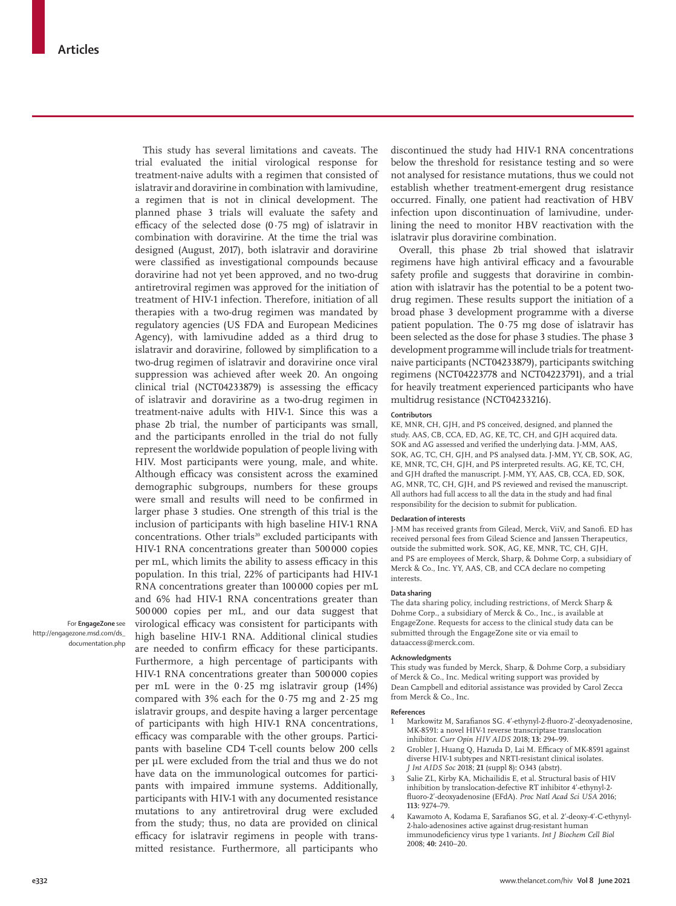This study has several limitations and caveats. The trial evaluated the initial virological response for treatment-naive adults with a regimen that consisted of islatravir and doravirine in combination with lamivudine, a regimen that is not in clinical development. The planned phase 3 trials will evaluate the safety and efficacy of the selected dose  $(0.75 \text{ mg})$  of islatravir in combination with doravirine. At the time the trial was designed (August, 2017), both islatravir and doravirine were classified as investigational compounds because doravirine had not yet been approved, and no two-drug antiretroviral regimen was approved for the initiation of treatment of HIV-1 infection. Therefore, initiation of all therapies with a two-drug regimen was mandated by regulatory agencies (US FDA and European Medicines Agency), with lamivudine added as a third drug to islatravir and doravirine, followed by simplification to a two-drug regimen of islatravir and doravirine once viral suppression was achieved after week 20. An ongoing clinical trial (NCT04233879) is assessing the efficacy of islatravir and doravirine as a two-drug regimen in treatment-naive adults with HIV-1. Since this was a phase 2b trial, the number of participants was small, and the participants enrolled in the trial do not fully represent the worldwide population of people living with HIV. Most participants were young, male, and white. Although efficacy was consistent across the examined demographic subgroups, numbers for these groups were small and results will need to be confirmed in larger phase 3 studies. One strength of this trial is the inclusion of participants with high baseline HIV-1 RNA concentrations. Other trials<sup>20</sup> excluded participants with HIV-1 RNA concentrations greater than 500 000 copies per mL, which limits the ability to assess efficacy in this population. In this trial, 22% of participants had HIV-1 RNA concentrations greater than 100 000 copies per mL and 6% had HIV-1 RNA concentrations greater than 500 000 copies per mL, and our data suggest that virological efficacy was consistent for participants with high baseline HIV-1 RNA. Additional clinical studies are needed to confirm efficacy for these participants. Furthermore, a high percentage of participants with HIV-1 RNA concentrations greater than 500 000 copies per mL were in the 0·25 mg islatravir group (14%) compared with  $3\%$  each for the 0.75 mg and  $2.25$  mg islatravir groups, and despite having a larger percentage of participants with high HIV-1 RNA concentrations, efficacy was comparable with the other groups. Participants with baseline CD4 T-cell counts below 200 cells per µL were excluded from the trial and thus we do not have data on the immunological outcomes for participants with impaired immune systems. Additionally, participants with HIV-1 with any documented resistance mutations to any antiretroviral drug were excluded from the study; thus, no data are provided on clinical efficacy for islatravir regimens in people with trans-

mitted resistance. Furthermore, all participants who

For **EngageZone** see [http://engagezone.msd.com/ds\\_](http://engagezone.msd.com/ds_documentation.php) [documentation.php](http://engagezone.msd.com/ds_documentation.php) discontinued the study had HIV-1 RNA concentrations below the threshold for resistance testing and so were not analysed for resistance mutations, thus we could not establish whether treatment-emergent drug resistance occurred. Finally, one patient had reactivation of HBV infection upon discontinuation of lamivudine, underlining the need to monitor HBV reactivation with the islatravir plus doravirine combination.

Overall, this phase 2b trial showed that islatravir regimens have high antiviral efficacy and a favourable safety profile and suggests that doravirine in combination with islatravir has the potential to be a potent twodrug regimen. These results support the initiation of a broad phase 3 development programme with a diverse patient population. The 0·75 mg dose of islatravir has been selected as the dose for phase 3 studies. The phase 3 development programme will include trials for treatmentnaive participants (NCT04233879), participants switching regimens (NCT04223778 and NCT04223791), and a trial for heavily treatment experienced participants who have multidrug resistance (NCT04233216).

#### **Contributors**

KE, MNR, CH, GJH, and PS conceived, designed, and planned the study. AAS, CB, CCA, ED, AG, KE, TC, CH, and GJH acquired data. SOK and AG assessed and verified the underlying data. J-MM, AAS, SOK, AG, TC, CH, GJH, and PS analysed data. J-MM, YY, CB, SOK, AG, KE, MNR, TC, CH, GJH, and PS interpreted results. AG, KE, TC, CH, and GJH drafted the manuscript. J-MM, YY, AAS, CB, CCA, ED, SOK, AG, MNR, TC, CH, GJH, and PS reviewed and revised the manuscript. All authors had full access to all the data in the study and had final responsibility for the decision to submit for publication.

#### **Declaration of interests**

J-MM has received grants from Gilead, Merck, ViiV, and Sanofi. ED has received personal fees from Gilead Science and Janssen Therapeutics, outside the submitted work. SOK, AG, KE, MNR, TC, CH, GJH, and PS are employees of Merck, Sharp, & Dohme Corp, a subsidiary of Merck & Co., Inc. YY, AAS, CB, and CCA declare no competing interests.

#### **Data sharing**

The data sharing policy, including restrictions, of Merck Sharp & Dohme Corp., a subsidiary of Merck & Co., Inc., is available at [EngageZone.](http://engagezone.msd.com/ds_documentation.php) Requests for access to the clinical study data can be submitted through the EngageZone site or via email to dataaccess@merck.com.

#### **Acknowledgments**

This study was funded by Merck, Sharp, & Dohme Corp, a subsidiary of Merck & Co., Inc. Medical writing support was provided by Dean Campbell and editorial assistance was provided by Carol Zecca from Merck & Co., Inc.

#### **References**

- 1 Markowitz M, Sarafianos SG. 4ʹ-ethynyl-2-fluoro-2ʹ-deoxyadenosine, MK-8591: a novel HIV-1 reverse transcriptase translocation inhibitor. *Curr Opin HIV AIDS* 2018; **13:** 294–99.
- 2 Grobler J, Huang O, Hazuda D, Lai M, Efficacy of MK-8591 against diverse HIV-1 subtypes and NRTI-resistant clinical isolates. *J Int AIDS Soc* 2018; **21** (suppl 8)**:** O343 (abstr).
- 3 Salie ZL, Kirby KA, Michailidis E, et al. Structural basis of HIV inhibition by translocation-defective RT inhibitor 4ʹ-ethynyl-2 fluoro-2ʹ-deoxyadenosine (EFdA). *Proc Natl Acad Sci USA* 2016; **113:** 9274–79.
- 4 Kawamoto A, Kodama E, Sarafianos SG, et al. 2ʹ-deoxy-4ʹ-C-ethynyl-2-halo-adenosines active against drug-resistant human immunodeficiency virus type 1 variants. *Int J Biochem Cell Biol* 2008; **40:** 2410–20.